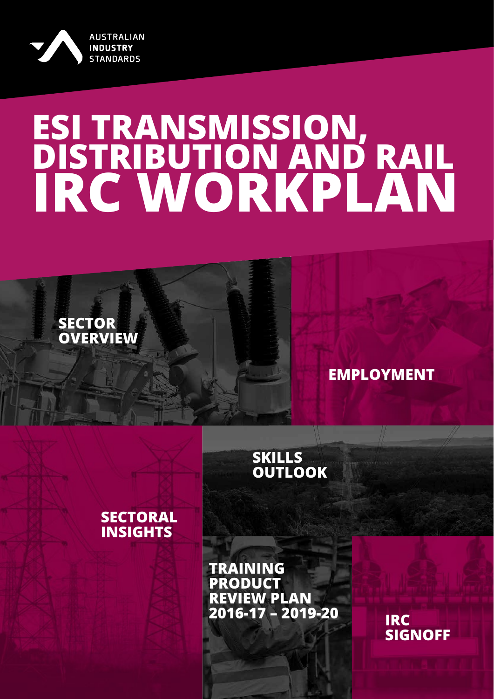<span id="page-0-0"></span>

**SECTOR**

**[OVERVIEW](#page-3-0)**

# **ESI TRANSMISSION, DISTRIBUTION AND RAIL IRC WORKPLAN**

# **[EMPLOYMENT](#page-10-0)**

## **SKILLS [OUTLOOK](#page-15-0)**

## **[SECTORAL](#page-19-0) INSIGHTS**

**TRAINING PRODUCT REVIEW PLAN [2016-17 – 2019-20](#page-22-0) IRC**

**[SIGNOFF](#page-1-0)**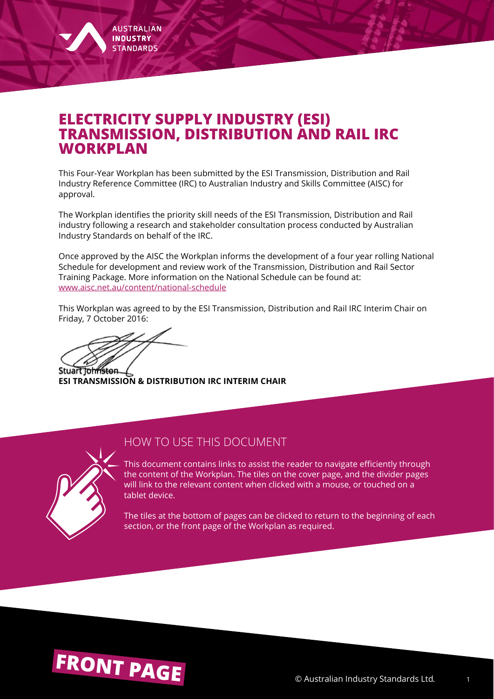## <span id="page-1-0"></span>**ELECTRICITY SUPPLY INDUSTRY (ESI) TRANSMISSION, DISTRIBUTION AND RAIL IRC WORKPLAN**

This Four-Year Workplan has been submitted by the ESI Transmission, Distribution and Rail Industry Reference Committee (IRC) to Australian Industry and Skills Committee (AISC) for approval.

The Workplan identifies the priority skill needs of the ESI Transmission, Distribution and Rail industry following a research and stakeholder consultation process conducted by Australian Industry Standards on behalf of the IRC.

Once approved by the AISC the Workplan informs the development of a four year rolling National Schedule for development and review work of the Transmission, Distribution and Rail Sector Training Package. More information on the National Schedule can be found at[:](http://www.aisc.net.au/content/national-schedule) [www.aisc.net.au/content/national-schedule](http://www.aisc.net.au/content/national-schedule)

This Workplan was agreed to by the ESI Transmission, Distribution and Rail IRC Interim Chair on Friday, 7 October 2016:

Stuart Johnston

**ESI TRANSMISSION & DISTRIBUTION IRC INTERIM CHAIR**



#### HOW TO USE THIS DOCUMENT

This document contains links to assist the reader to navigate efficiently through the content of the Workplan. The tiles on the cover page, and the divider pages will link to the relevant content when clicked with a mouse, or touched on a tablet device.

The tiles at the bottom of pages can be clicked to return to the beginning of each section, or the front page of the Workplan as required.

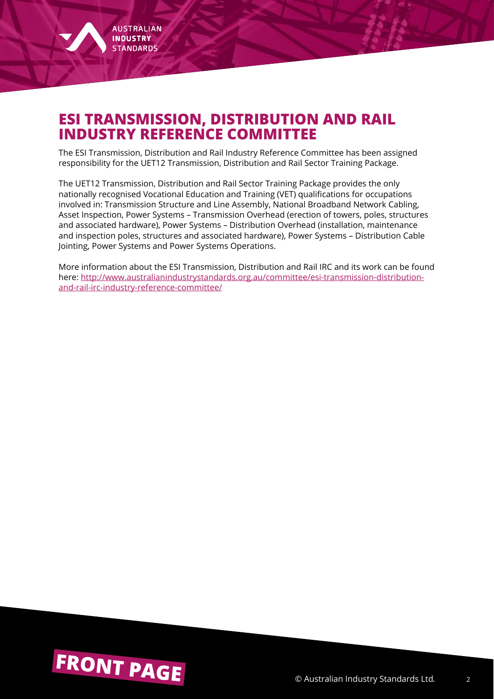

# **ESI TRANSMISSION, DISTRIBUTION AND RAIL INDUSTRY REFERENCE COMMITTEE**

The ESI Transmission, Distribution and Rail Industry Reference Committee has been assigned responsibility for the UET12 Transmission, Distribution and Rail Sector Training Package.

The UET12 Transmission, Distribution and Rail Sector Training Package provides the only nationally recognised Vocational Education and Training (VET) qualifications for occupations involved in: Transmission Structure and Line Assembly, National Broadband Network Cabling, Asset Inspection, Power Systems – Transmission Overhead (erection of towers, poles, structures and associated hardware), Power Systems – Distribution Overhead (installation, maintenance and inspection poles, structures and associated hardware), Power Systems – Distribution Cable Jointing, Power Systems and Power Systems Operations.

More information about the ESI Transmission, Distribution and Rail IRC and its work can be found here: [http://www.australianindustrystandards.org.au/committee/esi-transmission-distribution](http://www.australianindustrystandards.org.au/committee/esi-transmission-distribution-and-rail-irc-industry-reference-committee/)[and-rail-irc-industry-reference-committee/](http://www.australianindustrystandards.org.au/committee/esi-transmission-distribution-and-rail-irc-industry-reference-committee/)

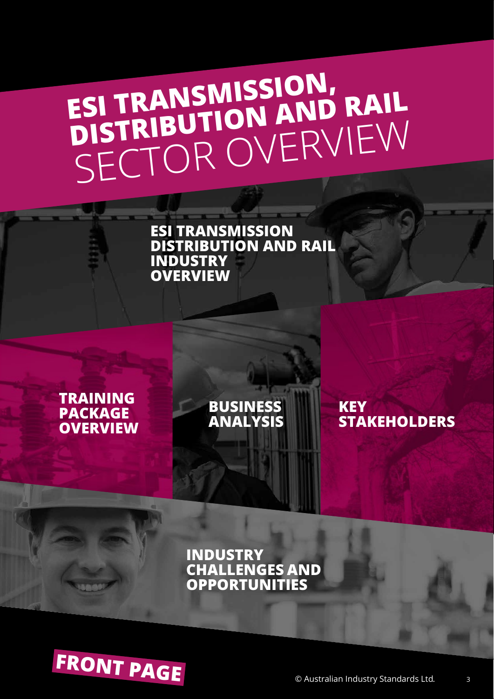# <span id="page-3-0"></span>**ESI TRANSMISSION, ESI TRANSWISSION AND RAIL**<br>DISTRIBUTION AND RAIL [SECTOR OVERV](#page-4-0)IEW

**ESI TRANSMISSION DISTRIBUTION AND RAIL INDUSTRY OVERVIEW**

## **TRAINING PACKAGE [OVERVIEW](#page-6-0)**

**[BUSINESS](#page-7-0)  ANALYSIS**

**KEY [STAKEHOLDERS](#page-8-0)**

**INDUSTRY [CHALLENGES AND](#page-9-0)  OPPORTUNITIES**

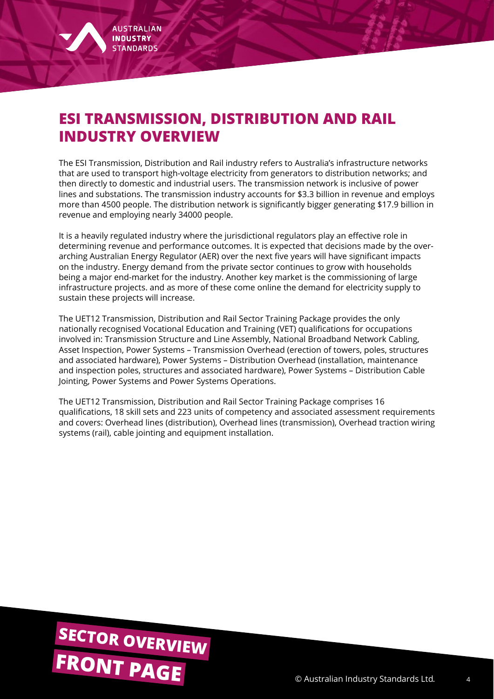<span id="page-4-0"></span>

# **ESI TRANSMISSION, DISTRIBUTION AND RAIL INDUSTRY OVERVIEW**

The ESI Transmission, Distribution and Rail industry refers to Australia's infrastructure networks that are used to transport high-voltage electricity from generators to distribution networks; and then directly to domestic and industrial users. The transmission network is inclusive of power lines and substations. The transmission industry accounts for \$3.3 billion in revenue and employs more than 4500 people. The distribution network is significantly bigger generating \$17.9 billion in revenue and employing nearly 34000 people.

It is a heavily regulated industry where the jurisdictional regulators play an effective role in determining revenue and performance outcomes. It is expected that decisions made by the overarching Australian Energy Regulator (AER) over the next five years will have significant impacts on the industry. Energy demand from the private sector continues to grow with households being a major end-market for the industry. Another key market is the commissioning of large infrastructure projects. and as more of these come online the demand for electricity supply to sustain these projects will increase.

The UET12 Transmission, Distribution and Rail Sector Training Package provides the only nationally recognised Vocational Education and Training (VET) qualifications for occupations involved in: Transmission Structure and Line Assembly, National Broadband Network Cabling, Asset Inspection, Power Systems – Transmission Overhead (erection of towers, poles, structures and associated hardware), Power Systems – Distribution Overhead (installation, maintenance and inspection poles, structures and associated hardware), Power Systems – Distribution Cable Jointing, Power Systems and Power Systems Operations.

The UET12 Transmission, Distribution and Rail Sector Training Package comprises 16 qualifications, 18 skill sets and 223 units of competency and associated assessment requirements and covers: Overhead lines (distribution), Overhead lines (transmission), Overhead traction wiring systems (rail), cable jointing and equipment installation.

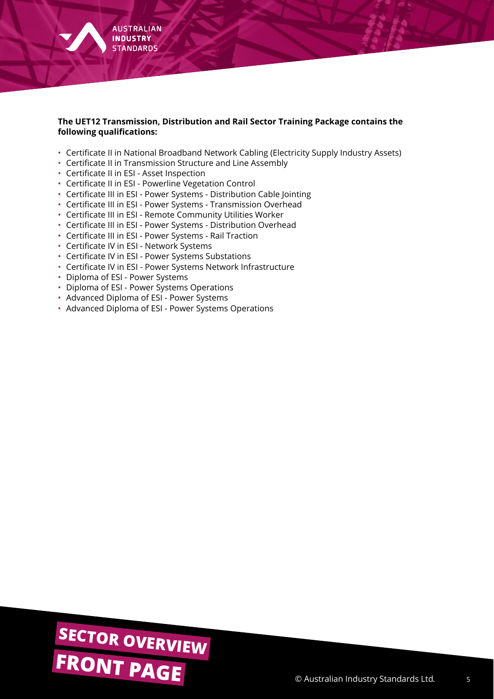

#### **The UET12 Transmission, Distribution and Rail Sector Training Package contains the following qualifications:**

- Certificate II in National Broadband Network Cabling (Electricity Supply Industry Assets)
- Certificate II in Transmission Structure and Line Assembly
- Certificate II in ESI Asset Inspection
- Certificate II in ESI Powerline Vegetation Control
- Certificate III in ESI Power Systems Distribution Cable Jointing
- Certificate III in ESI Power Systems Transmission Overhead
- Certificate III in ESI Remote Community Utilities Worker
- Certificate III in ESI Power Systems Distribution Overhead
- Certificate III in ESI Power Systems Rail Traction
- Certificate IV in ESI Network Systems
- Certificate IV in ESI Power Systems Substations
- Certificate IV in ESI Power Systems Network Infrastructure
- Diploma of ESI Power Systems
- Diploma of ESI Power Systems Operations
- Advanced Diploma of ESI Power Systems
- Advanced Diploma of ESI Power Systems Operations

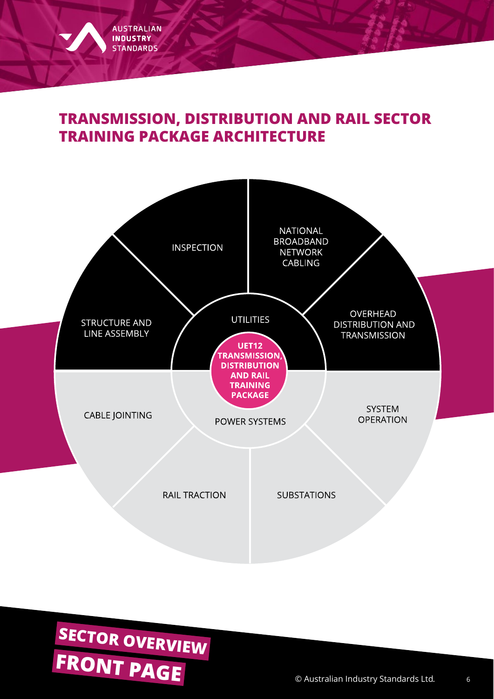# <span id="page-6-0"></span>**TRANSMISSION, DISTRIBUTION AND RAIL SECTOR TRAINING PACKAGE ARCHITECTURE**



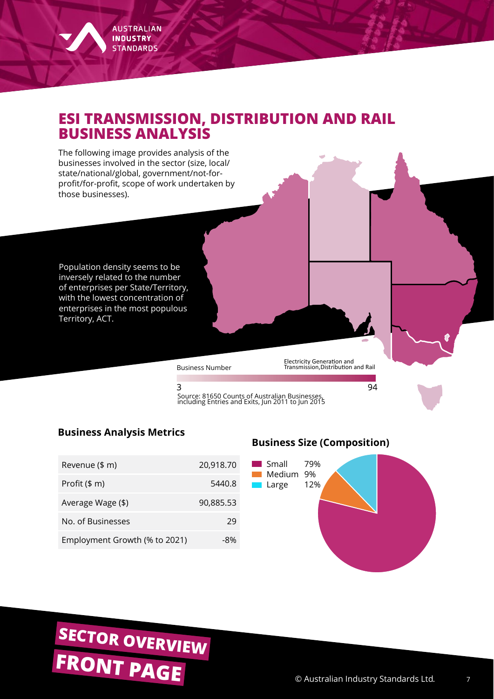# <span id="page-7-0"></span>**ESI TRANSMISSION, DISTRIBUTION AND RAIL BUSINESS ANALYSIS**

The following image provides analysis of the businesses involved in the sector (size, local/ state/national/global, government/not-forprofit/for-profit, scope of work undertaken by those businesses).

Population density seems to be inversely related to the number of enterprises per State/Territory, with the lowest concentration of enterprises in the most populous Territory, ACT.

Business Number

Electricity Generation and Transmission,Distribution and Rail

94

3 Source: 81650 Counts of Australian Businesses, including Entries and Exits, Jun 2011 to Jun 2015

#### **Business Analysis Metrics**

| Revenue (\$ m)                | 20,918.70 |
|-------------------------------|-----------|
| Profit $($m)$                 | 5440.8    |
| Average Wage (\$)             | 90,885.53 |
| No. of Businesses             | 29        |
| Employment Growth (% to 2021) | -8%       |

#### **Business Size (Composition)**



# **[FRONT PAGE](#page-0-0)** © Australian Industry Standards Ltd. **[SECTOR OVERVIEW](#page-3-0)**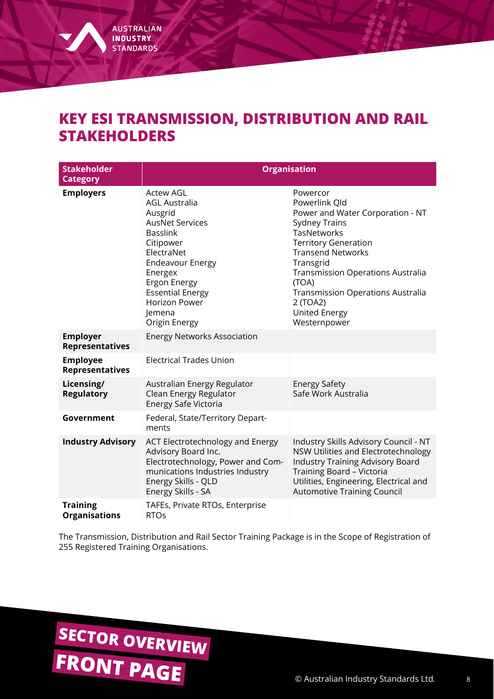# <span id="page-8-0"></span>**KEY ESI TRANSMISSION, DISTRIBUTION AND RAIL STAKEHOLDERS**

| <b>Stakeholder</b><br><b>Category</b>     | <b>Organisation</b>                                                                                                                                                                                                                                             |                                                                                                                                                                                                                                                                                                                                          |  |  |  |  |
|-------------------------------------------|-----------------------------------------------------------------------------------------------------------------------------------------------------------------------------------------------------------------------------------------------------------------|------------------------------------------------------------------------------------------------------------------------------------------------------------------------------------------------------------------------------------------------------------------------------------------------------------------------------------------|--|--|--|--|
| <b>Employers</b>                          | <b>Actew AGL</b><br><b>AGL Australia</b><br>Ausgrid<br><b>AusNet Services</b><br><b>Basslink</b><br>Citipower<br>ElectraNet<br><b>Endeavour Energy</b><br>Energex<br>Ergon Energy<br><b>Essential Energy</b><br><b>Horizon Power</b><br>Jemena<br>Origin Energy | Powercor<br>Powerlink Qld<br>Power and Water Corporation - NT<br><b>Sydney Trains</b><br><b>TasNetworks</b><br><b>Territory Generation</b><br><b>Transend Networks</b><br>Transgrid<br><b>Transmission Operations Australia</b><br>(TOA)<br><b>Transmission Operations Australia</b><br>2 (TOA2)<br><b>United Energy</b><br>Westernpower |  |  |  |  |
| <b>Employer</b><br><b>Representatives</b> | <b>Energy Networks Association</b>                                                                                                                                                                                                                              |                                                                                                                                                                                                                                                                                                                                          |  |  |  |  |
| <b>Employee</b><br><b>Representatives</b> | <b>Electrical Trades Union</b>                                                                                                                                                                                                                                  |                                                                                                                                                                                                                                                                                                                                          |  |  |  |  |
| Licensing/<br><b>Regulatory</b>           | Australian Energy Regulator<br>Clean Energy Regulator<br>Energy Safe Victoria                                                                                                                                                                                   | <b>Energy Safety</b><br>Safe Work Australia                                                                                                                                                                                                                                                                                              |  |  |  |  |
| Government                                | Federal, State/Territory Depart-<br>ments                                                                                                                                                                                                                       |                                                                                                                                                                                                                                                                                                                                          |  |  |  |  |
| <b>Industry Advisory</b>                  | ACT Electrotechnology and Energy<br>Advisory Board Inc.<br>Electrotechnology, Power and Com-<br>munications Industries Industry<br>Energy Skills - QLD<br>Energy Skills - SA                                                                                    | Industry Skills Advisory Council - NT<br>NSW Utilities and Electrotechnology<br><b>Industry Training Advisory Board</b><br>Training Board - Victoria<br>Utilities, Engineering, Electrical and<br><b>Automotive Training Council</b>                                                                                                     |  |  |  |  |
| <b>Training</b><br><b>Organisations</b>   | TAFEs, Private RTOs, Enterprise<br><b>RTOs</b>                                                                                                                                                                                                                  |                                                                                                                                                                                                                                                                                                                                          |  |  |  |  |

The Transmission, Distribution and Rail Sector Training Package is in the Scope of Registration of 255 Registered Training Organisations.

# **[FRONT PAGE](#page-0-0)** © Australian Industry Standards Ltd. **[SECTOR OVERVIEW](#page-3-0)**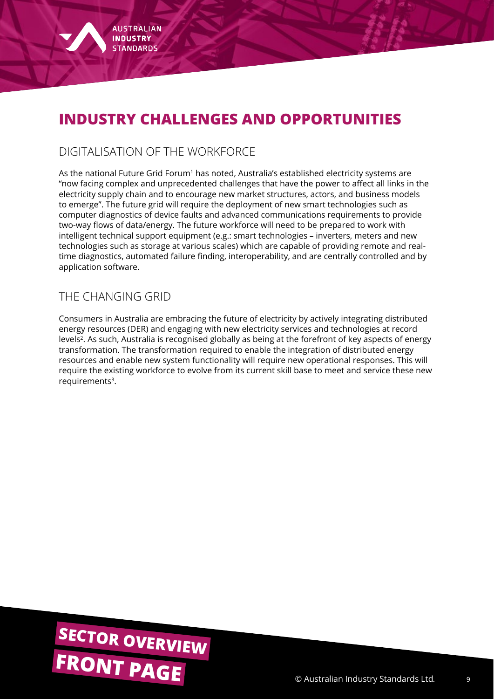<span id="page-9-0"></span>

# **INDUSTRY CHALLENGES AND OPPORTUNITIES**

#### DIGITALISATION OF THE WORKFORCE

As the national Future Grid Forum<sup>1</sup> has noted, Australia's established electricity systems are "now facing complex and unprecedented challenges that have the power to affect all links in the electricity supply chain and to encourage new market structures, actors, and business models to emerge". The future grid will require the deployment of new smart technologies such as computer diagnostics of device faults and advanced communications requirements to provide two-way flows of data/energy. The future workforce will need to be prepared to work with intelligent technical support equipment (e.g.: smart technologies – inverters, meters and new technologies such as storage at various scales) which are capable of providing remote and realtime diagnostics, automated failure finding, interoperability, and are centrally controlled and by application software.

#### THE CHANGING GRID

Consumers in Australia are embracing the future of electricity by actively integrating distributed energy resources (DER) and engaging with new electricity services and technologies at record levels2. As such, Australia is recognised globally as being at the forefront of key aspects of energy transformation. The transformation required to enable the integration of distributed energy resources and enable new system functionality will require new operational responses. This will require the existing workforce to evolve from its current skill base to meet and service these new requirements<sup>3</sup>.

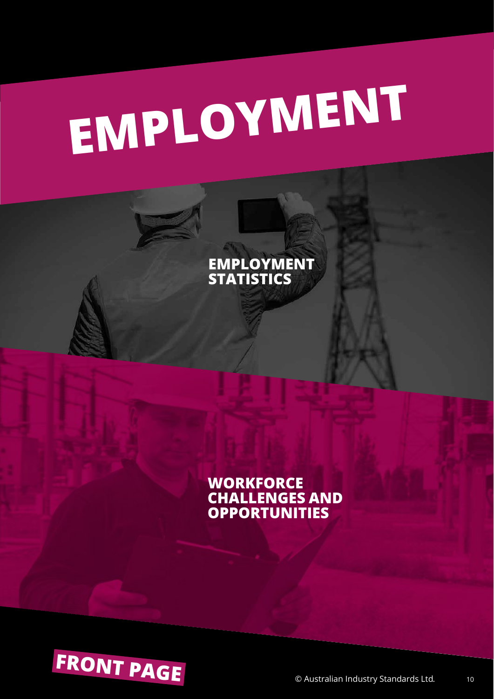# <span id="page-10-0"></span>**[EM](#page-11-0)PLOYMENT**

**EMPLOYMENT STATISTICS**

**WORKFORCE [CHALLENGES AND](#page-14-0)  OPPORTUNITIES**

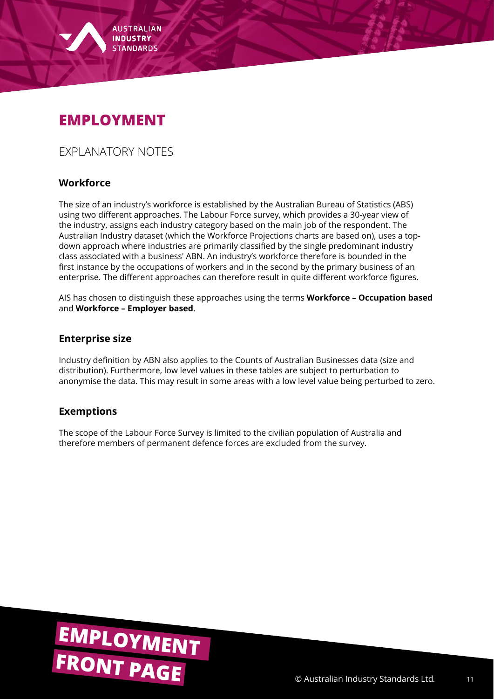<span id="page-11-0"></span>

# **EMPLOYMENT**

EXPLANATORY NOTES

#### **Workforce**

The size of an industry's workforce is established by the Australian Bureau of Statistics (ABS) using two different approaches. The Labour Force survey, which provides a 30-year view of the industry, assigns each industry category based on the main job of the respondent. The Australian Industry dataset (which the Workforce Projections charts are based on), uses a topdown approach where industries are primarily classified by the single predominant industry class associated with a business' ABN. An industry's workforce therefore is bounded in the first instance by the occupations of workers and in the second by the primary business of an enterprise. The different approaches can therefore result in quite different workforce figures.

AIS has chosen to distinguish these approaches using the terms **Workforce – Occupation based** and **Workforce – Employer based**.

#### **Enterprise size**

Industry definition by ABN also applies to the Counts of Australian Businesses data (size and distribution). Furthermore, low level values in these tables are subject to perturbation to anonymise the data. This may result in some areas with a low level value being perturbed to zero.

#### **Exemptions**

The scope of the Labour Force Survey is limited to the civilian population of Australia and therefore members of permanent defence forces are excluded from the survey.

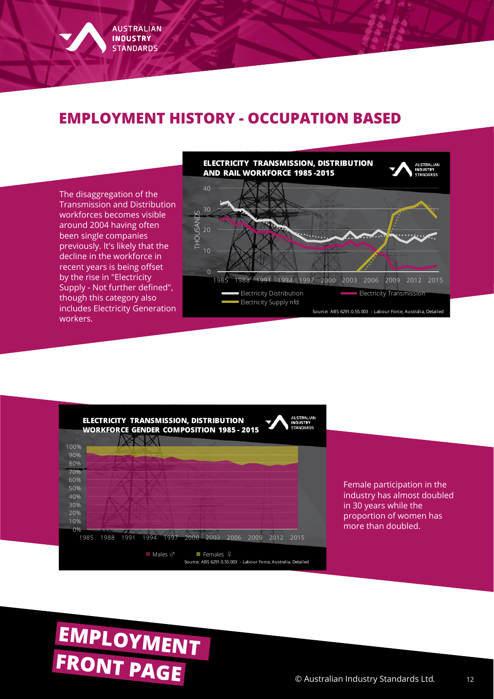# **EMPLOYMENT HISTORY - OCCUPATION BASED**





# **[FRONT PAGE](#page-0-0)** © Australian Industry Standards Ltd. **[EMPLOYMENT](#page-10-0)**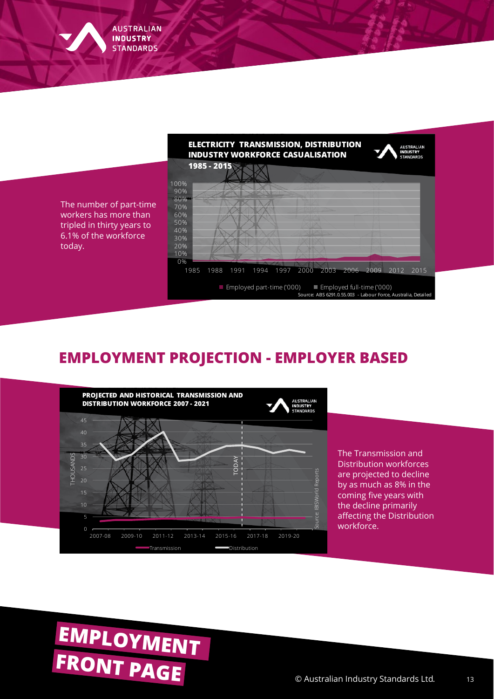

# **EMPLOYMENT PROJECTION - EMPLOYER BASED**



The Transmission and Distribution workforces are projected to decline by as much as 8% in the coming five years with the decline primarily affecting the Distribution workforce.

# **[FRONT PAGE](#page-0-0)** © Australian Industry Standards Ltd. **[EMPLOYMENT](#page-10-0)**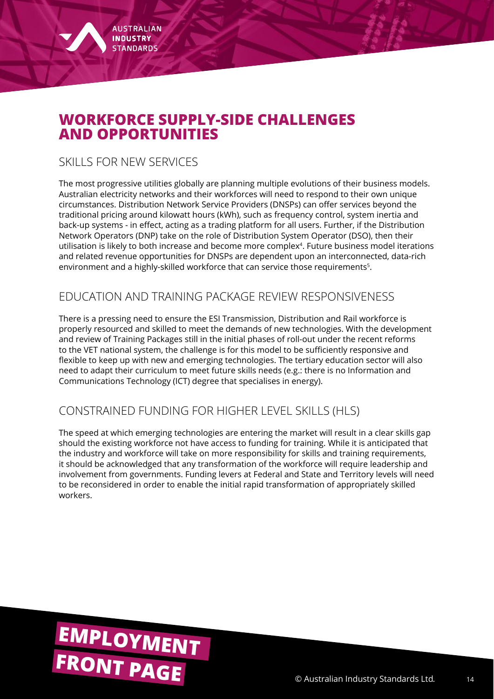# <span id="page-14-0"></span>**WORKFORCE SUPPLY-SIDE CHALLENGES AND OPPORTUNITIES**

### SKILLS FOR NEW SERVICES

The most progressive utilities globally are planning multiple evolutions of their business models. Australian electricity networks and their workforces will need to respond to their own unique circumstances. Distribution Network Service Providers (DNSPs) can offer services beyond the traditional pricing around kilowatt hours (kWh), such as frequency control, system inertia and back-up systems - in effect, acting as a trading platform for all users. Further, if the Distribution Network Operators (DNP) take on the role of Distribution System Operator (DSO), then their utilisation is likely to both increase and become more complex<sup>4</sup>. Future business model iterations and related revenue opportunities for DNSPs are dependent upon an interconnected, data-rich environment and a highly-skilled workforce that can service those requirements<sup>5</sup>.

#### EDUCATION AND TRAINING PACKAGE REVIEW RESPONSIVENESS

There is a pressing need to ensure the ESI Transmission, Distribution and Rail workforce is properly resourced and skilled to meet the demands of new technologies. With the development and review of Training Packages still in the initial phases of roll-out under the recent reforms to the VET national system, the challenge is for this model to be sufficiently responsive and flexible to keep up with new and emerging technologies. The tertiary education sector will also need to adapt their curriculum to meet future skills needs (e.g.: there is no Information and Communications Technology (ICT) degree that specialises in energy).

### CONSTRAINED FUNDING FOR HIGHER LEVEL SKILLS (HLS)

The speed at which emerging technologies are entering the market will result in a clear skills gap should the existing workforce not have access to funding for training. While it is anticipated that the industry and workforce will take on more responsibility for skills and training requirements, it should be acknowledged that any transformation of the workforce will require leadership and involvement from governments. Funding levers at Federal and State and Territory levels will need to be reconsidered in order to enable the initial rapid transformation of appropriately skilled workers.

# **[FRONT PAGE](#page-0-0)** © Australian Industry Standards Ltd. **[EMPLOYMENT](#page-10-0)**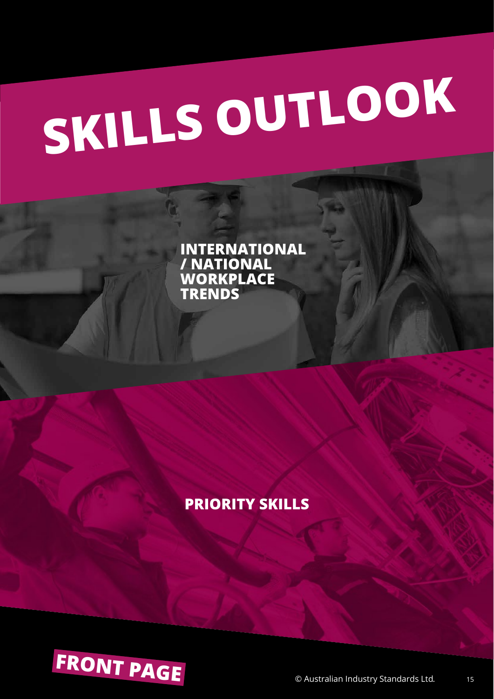# <span id="page-15-0"></span>**[SK](#page-16-0)ILLS OUTLOOK**

**INTERNATIONAL / NATIONAL WORKPLACE TRENDS**

# **[PRIORITY SKILLS](#page-17-0)**

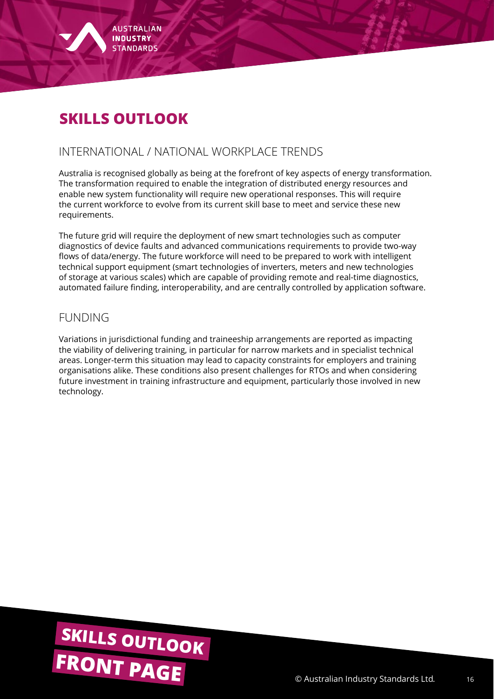<span id="page-16-0"></span>

# **SKILLS OUTLOOK**

#### INTERNATIONAL / NATIONAL WORKPLACE TRENDS

Australia is recognised globally as being at the forefront of key aspects of energy transformation. The transformation required to enable the integration of distributed energy resources and enable new system functionality will require new operational responses. This will require the current workforce to evolve from its current skill base to meet and service these new requirements.

The future grid will require the deployment of new smart technologies such as computer diagnostics of device faults and advanced communications requirements to provide two-way flows of data/energy. The future workforce will need to be prepared to work with intelligent technical support equipment (smart technologies of inverters, meters and new technologies of storage at various scales) which are capable of providing remote and real-time diagnostics, automated failure finding, interoperability, and are centrally controlled by application software.

#### FUNDING

Variations in jurisdictional funding and traineeship arrangements are reported as impacting the viability of delivering training, in particular for narrow markets and in specialist technical areas. Longer-term this situation may lead to capacity constraints for employers and training organisations alike. These conditions also present challenges for RTOs and when considering future investment in training infrastructure and equipment, particularly those involved in new technology.

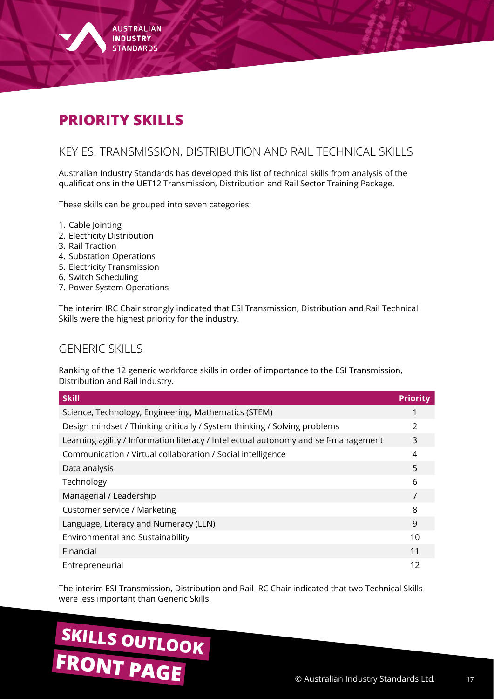<span id="page-17-0"></span>

#### KEY ESI TRANSMISSION, DISTRIBUTION AND RAIL TECHNICAL SKILLS

Australian Industry Standards has developed this list of technical skills from analysis of the qualifications in the UET12 Transmission, Distribution and Rail Sector Training Package.

These skills can be grouped into seven categories:

- 1. Cable Jointing
- 2. Electricity Distribution
- 3. Rail Traction
- 4. Substation Operations
- 5. Electricity Transmission
- 6. Switch Scheduling
- 7. Power System Operations

The interim IRC Chair strongly indicated that ESI Transmission, Distribution and Rail Technical Skills were the highest priority for the industry.

#### GENERIC SKILLS

Ranking of the 12 generic workforce skills in order of importance to the ESI Transmission, Distribution and Rail industry.

| <b>Skill</b>                                                                        | <b>Priority</b> |
|-------------------------------------------------------------------------------------|-----------------|
| Science, Technology, Engineering, Mathematics (STEM)                                |                 |
| Design mindset / Thinking critically / System thinking / Solving problems           | 2               |
| Learning agility / Information literacy / Intellectual autonomy and self-management | 3               |
| Communication / Virtual collaboration / Social intelligence                         | 4               |
| Data analysis                                                                       | 5               |
| Technology                                                                          | 6               |
| Managerial / Leadership                                                             | 7               |
| Customer service / Marketing                                                        | 8               |
| Language, Literacy and Numeracy (LLN)                                               | 9               |
| Environmental and Sustainability                                                    | 10              |
| Financial                                                                           | 11              |
| Entrepreneurial                                                                     | 12              |

The interim ESI Transmission, Distribution and Rail IRC Chair indicated that two Technical Skills were less important than Generic Skills.

# **[FRONT PAGE](#page-0-0)** © Australian Industry Standards Ltd. **[SKILLS OUTLOOK](#page-15-0)**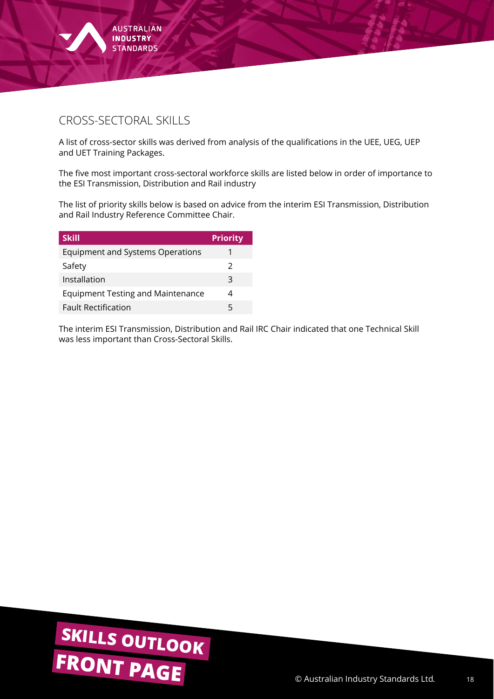

## CROSS-SECTORAL SKILLS

A list of cross-sector skills was derived from analysis of the qualifications in the UEE, UEG, UEP and UET Training Packages.

The five most important cross-sectoral workforce skills are listed below in order of importance to the ESI Transmission, Distribution and Rail industry

The list of priority skills below is based on advice from the interim ESI Transmission, Distribution and Rail Industry Reference Committee Chair.

| <b>Skill</b>                             | <b>Priority</b> |
|------------------------------------------|-----------------|
| <b>Equipment and Systems Operations</b>  |                 |
| Safety                                   | 2               |
| Installation                             | 3               |
| <b>Equipment Testing and Maintenance</b> |                 |
| <b>Fault Rectification</b>               | 5               |

The interim ESI Transmission, Distribution and Rail IRC Chair indicated that one Technical Skill was less important than Cross-Sectoral Skills.

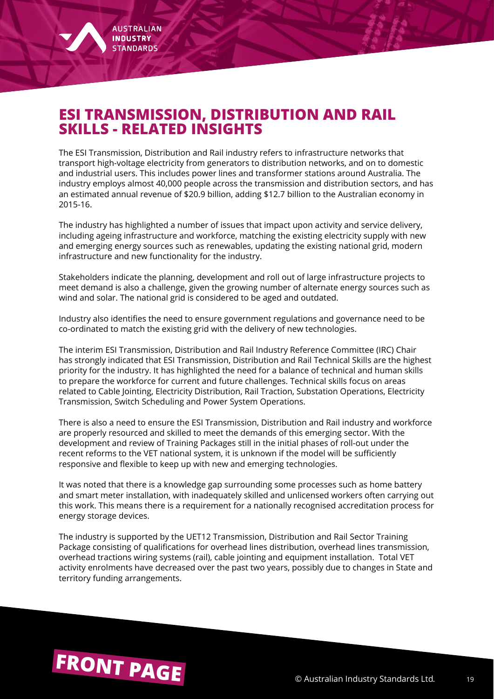# <span id="page-19-0"></span>**ESI TRANSMISSION, DISTRIBUTION AND RAIL SKILLS - RELATED INSIGHTS**

The ESI Transmission, Distribution and Rail industry refers to infrastructure networks that transport high-voltage electricity from generators to distribution networks, and on to domestic and industrial users. This includes power lines and transformer stations around Australia. The industry employs almost 40,000 people across the transmission and distribution sectors, and has an estimated annual revenue of \$20.9 billion, adding \$12.7 billion to the Australian economy in 2015-16.

The industry has highlighted a number of issues that impact upon activity and service delivery, including ageing infrastructure and workforce, matching the existing electricity supply with new and emerging energy sources such as renewables, updating the existing national grid, modern infrastructure and new functionality for the industry.

Stakeholders indicate the planning, development and roll out of large infrastructure projects to meet demand is also a challenge, given the growing number of alternate energy sources such as wind and solar. The national grid is considered to be aged and outdated.

Industry also identifies the need to ensure government regulations and governance need to be co-ordinated to match the existing grid with the delivery of new technologies.

The interim ESI Transmission, Distribution and Rail Industry Reference Committee (IRC) Chair has strongly indicated that ESI Transmission, Distribution and Rail Technical Skills are the highest priority for the industry. It has highlighted the need for a balance of technical and human skills to prepare the workforce for current and future challenges. Technical skills focus on areas related to Cable Jointing, Electricity Distribution, Rail Traction, Substation Operations, Electricity Transmission, Switch Scheduling and Power System Operations.

There is also a need to ensure the ESI Transmission, Distribution and Rail industry and workforce are properly resourced and skilled to meet the demands of this emerging sector. With the development and review of Training Packages still in the initial phases of roll-out under the recent reforms to the VET national system, it is unknown if the model will be sufficiently responsive and flexible to keep up with new and emerging technologies.

It was noted that there is a knowledge gap surrounding some processes such as home battery and smart meter installation, with inadequately skilled and unlicensed workers often carrying out this work. This means there is a requirement for a nationally recognised accreditation process for energy storage devices.

The industry is supported by the UET12 Transmission, Distribution and Rail Sector Training Package consisting of qualifications for overhead lines distribution, overhead lines transmission, overhead tractions wiring systems (rail), cable jointing and equipment installation. Total VET activity enrolments have decreased over the past two years, possibly due to changes in State and territory funding arrangements.

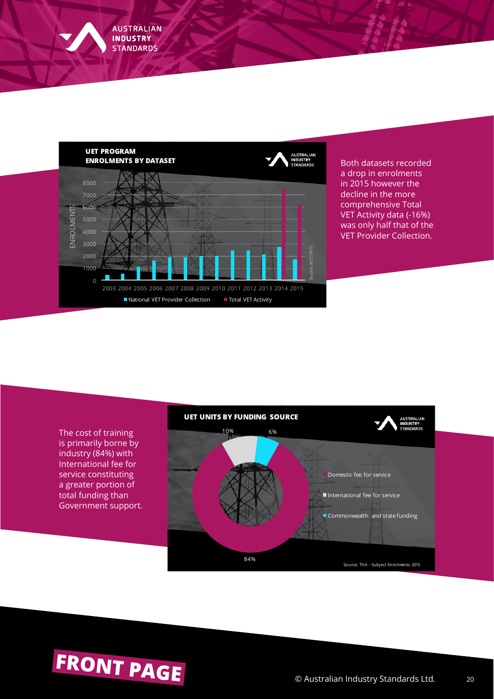

Both datasets recorded a drop in enrolments in 2015 however the decline in the more comprehensive Total VET Activity data (-16%) was only half that of the VET Provider Collection.

The cost of training is primarily borne by industry (84%) with International fee for service constituting a greater portion of total funding than Government support.



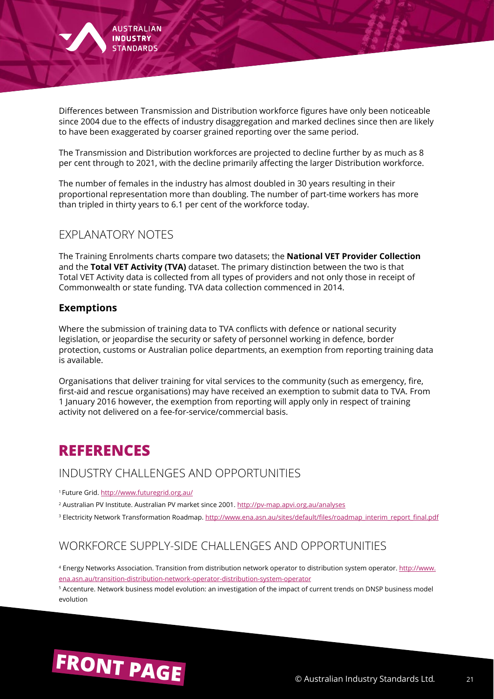

Differences between Transmission and Distribution workforce figures have only been noticeable since 2004 due to the effects of industry disaggregation and marked declines since then are likely to have been exaggerated by coarser grained reporting over the same period.

The Transmission and Distribution workforces are projected to decline further by as much as 8 per cent through to 2021, with the decline primarily affecting the larger Distribution workforce.

The number of females in the industry has almost doubled in 30 years resulting in their proportional representation more than doubling. The number of part-time workers has more than tripled in thirty years to 6.1 per cent of the workforce today.

#### EXPLANATORY NOTES

The Training Enrolments charts compare two datasets; the **National VET Provider Collection**  and the **Total VET Activity (TVA)** dataset. The primary distinction between the two is that Total VET Activity data is collected from all types of providers and not only those in receipt of Commonwealth or state funding. TVA data collection commenced in 2014.

#### **Exemptions**

Where the submission of training data to TVA conflicts with defence or national security legislation, or jeopardise the security or safety of personnel working in defence, border protection, customs or Australian police departments, an exemption from reporting training data is available.

Organisations that deliver training for vital services to the community (such as emergency, fire, first-aid and rescue organisations) may have received an exemption to submit data to TVA. From 1 January 2016 however, the exemption from reporting will apply only in respect of training activity not delivered on a fee-for-service/commercial basis.

# **REFERENCES**

#### INDUSTRY CHALLENGES AND OPPORTUNITIES

1 Future Grid. <http://www.futuregrid.org.au/>

2 Australian PV Institute. Australian PV market since 2001.<http://pv-map.apvi.org.au/analyses>

<sup>3</sup> Electricity Network Transformation Roadmap. [http://www.ena.asn.au/sites/default/files/roadmap\\_interim\\_report\\_final.pdf](http://www.ena.asn.au/sites/default/files/roadmap_interim_report_final.pdf)

## WORKFORCE SUPPLY-SIDE CHALLENGES AND OPPORTUNITIES

<sup>4</sup> Energy Networks Association. Transition from distribution network operator to distribution system operator. [http://www.](http://www.ena.asn.au/transition-distribution-network-operator-distribution-system-operator) [ena.asn.au/transition-distribution-network-operator-distribution-system-operator](http://www.ena.asn.au/transition-distribution-network-operator-distribution-system-operator)

<sup>5</sup> Accenture. Network business model evolution: an investigation of the impact of current trends on DNSP business model evolution

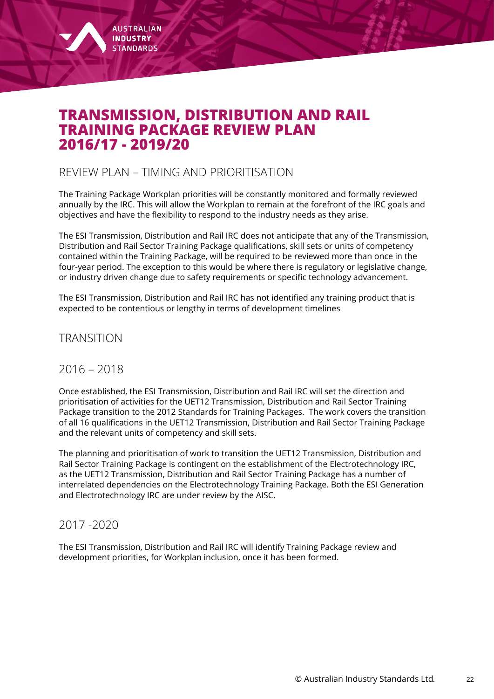<span id="page-22-0"></span>

## **TRANSMISSION, DISTRIBUTION AND RAIL TRAINING PACKAGE REVIEW PLAN 2016/17 - 2019/20**

#### REVIEW PLAN – TIMING AND PRIORITISATION

The Training Package Workplan priorities will be constantly monitored and formally reviewed annually by the IRC. This will allow the Workplan to remain at the forefront of the IRC goals and objectives and have the flexibility to respond to the industry needs as they arise.

The ESI Transmission, Distribution and Rail IRC does not anticipate that any of the Transmission, Distribution and Rail Sector Training Package qualifications, skill sets or units of competency contained within the Training Package, will be required to be reviewed more than once in the four-year period. The exception to this would be where there is regulatory or legislative change, or industry driven change due to safety requirements or specific technology advancement.

The ESI Transmission, Distribution and Rail IRC has not identified any training product that is expected to be contentious or lengthy in terms of development timelines

TRANSITION

#### 2016 – 2018

Once established, the ESI Transmission, Distribution and Rail IRC will set the direction and prioritisation of activities for the UET12 Transmission, Distribution and Rail Sector Training Package transition to the 2012 Standards for Training Packages. The work covers the transition of all 16 qualifications in the UET12 Transmission, Distribution and Rail Sector Training Package and the relevant units of competency and skill sets.

The planning and prioritisation of work to transition the UET12 Transmission, Distribution and Rail Sector Training Package is contingent on the establishment of the Electrotechnology IRC, as the UET12 Transmission, Distribution and Rail Sector Training Package has a number of interrelated dependencies on the Electrotechnology Training Package. Both the ESI Generation and Electrotechnology IRC are under review by the AISC.

#### 2017 -2020

The ESI Transmission, Distribution and Rail IRC will identify Training Package review and development priorities, for Workplan inclusion, once it has been formed.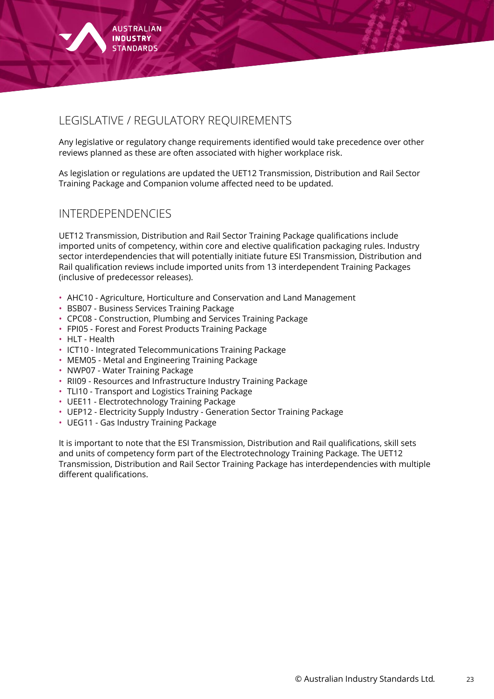

## LEGISLATIVE / REGULATORY REQUIREMENTS

Any legislative or regulatory change requirements identified would take precedence over other reviews planned as these are often associated with higher workplace risk.

As legislation or regulations are updated the UET12 Transmission, Distribution and Rail Sector Training Package and Companion volume affected need to be updated.

#### INTERDEPENDENCIES

UET12 Transmission, Distribution and Rail Sector Training Package qualifications include imported units of competency, within core and elective qualification packaging rules. Industry sector interdependencies that will potentially initiate future ESI Transmission, Distribution and Rail qualification reviews include imported units from 13 interdependent Training Packages (inclusive of predecessor releases).

- AHC10 Agriculture, Horticulture and Conservation and Land Management
- BSB07 Business Services Training Package
- CPC08 Construction, Plumbing and Services Training Package
- FPI05 Forest and Forest Products Training Package
- HLT Health
- ICT10 Integrated Telecommunications Training Package
- MEM05 Metal and Engineering Training Package
- NWP07 Water Training Package
- RII09 Resources and Infrastructure Industry Training Package
- TLI10 Transport and Logistics Training Package
- UEE11 Electrotechnology Training Package
- UEP12 Electricity Supply Industry Generation Sector Training Package
- UEG11 Gas Industry Training Package

It is important to note that the ESI Transmission, Distribution and Rail qualifications, skill sets and units of competency form part of the Electrotechnology Training Package. The UET12 Transmission, Distribution and Rail Sector Training Package has interdependencies with multiple different qualifications.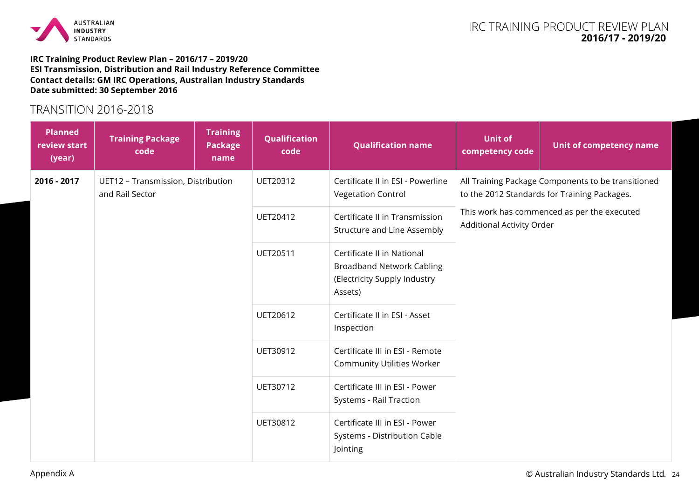

#### **IRC Training Product Review Plan – 2016/17 – 2019/20 ESI Transmission, Distribution and Rail Industry Reference Committee Contact details: GM IRC Operations, Australian Industry Standards Date submitted: 30 September 2016**

#### TRANSITION 2016-2018

| <b>Planned</b><br>review start<br>(year) | <b>Training Package</b><br>code                       | <b>Training</b><br><b>Package</b><br>name | Qualification<br>code | <b>Qualification name</b>                                                                                 | <b>Unit of</b><br>competency code                                                                  | Unit of competency name |  |
|------------------------------------------|-------------------------------------------------------|-------------------------------------------|-----------------------|-----------------------------------------------------------------------------------------------------------|----------------------------------------------------------------------------------------------------|-------------------------|--|
| 2016 - 2017                              | UET12 - Transmission, Distribution<br>and Rail Sector |                                           | UET20312              | Certificate II in ESI - Powerline<br><b>Vegetation Control</b>                                            | All Training Package Components to be transitioned<br>to the 2012 Standards for Training Packages. |                         |  |
|                                          |                                                       |                                           | UET20412              | Certificate II in Transmission<br>Structure and Line Assembly                                             | This work has commenced as per the executed<br>Additional Activity Order                           |                         |  |
|                                          |                                                       |                                           | UET20511              | Certificate II in National<br><b>Broadband Network Cabling</b><br>(Electricity Supply Industry<br>Assets) |                                                                                                    |                         |  |
|                                          |                                                       |                                           | UET20612              | Certificate II in ESI - Asset<br>Inspection                                                               |                                                                                                    |                         |  |
|                                          |                                                       |                                           | UET30912              | Certificate III in ESI - Remote<br><b>Community Utilities Worker</b>                                      |                                                                                                    |                         |  |
|                                          |                                                       |                                           | UET30712              | Certificate III in ESI - Power<br>Systems - Rail Traction                                                 |                                                                                                    |                         |  |
|                                          |                                                       |                                           | UET30812              | Certificate III in ESI - Power<br>Systems - Distribution Cable<br>Jointing                                |                                                                                                    |                         |  |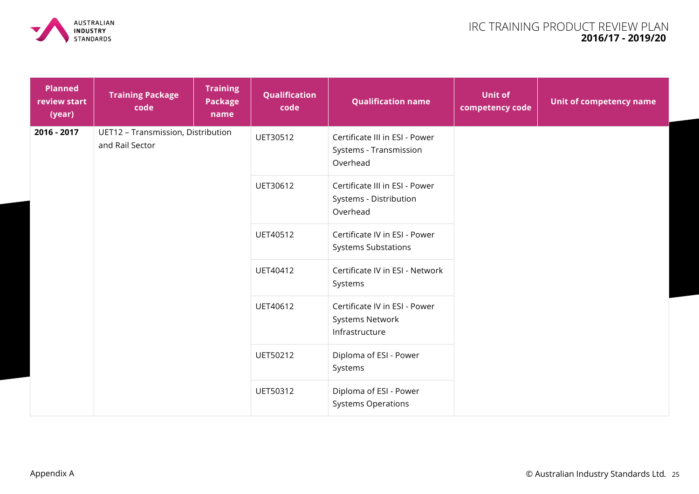

| <b>Planned</b><br>review start<br>(year) | <b>Training Package</b><br>code                       | <b>Training</b><br><b>Package</b><br>name | Qualification<br>code                               | <b>Qualification name</b>                                            | <b>Unit of</b><br>competency code | Unit of competency name |
|------------------------------------------|-------------------------------------------------------|-------------------------------------------|-----------------------------------------------------|----------------------------------------------------------------------|-----------------------------------|-------------------------|
| 2016 - 2017                              | UET12 - Transmission, Distribution<br>and Rail Sector |                                           | UET30512                                            | Certificate III in ESI - Power<br>Systems - Transmission<br>Overhead |                                   |                         |
|                                          |                                                       |                                           | UET30612                                            | Certificate III in ESI - Power<br>Systems - Distribution<br>Overhead |                                   |                         |
|                                          |                                                       |                                           | UET40512                                            | Certificate IV in ESI - Power<br><b>Systems Substations</b>          |                                   |                         |
|                                          |                                                       |                                           | UET40412                                            | Certificate IV in ESI - Network<br>Systems                           |                                   |                         |
|                                          |                                                       |                                           | UET40612                                            | Certificate IV in ESI - Power<br>Systems Network<br>Infrastructure   |                                   |                         |
|                                          |                                                       |                                           | UET50212                                            | Diploma of ESI - Power<br>Systems                                    |                                   |                         |
|                                          |                                                       | UET50312                                  | Diploma of ESI - Power<br><b>Systems Operations</b> |                                                                      |                                   |                         |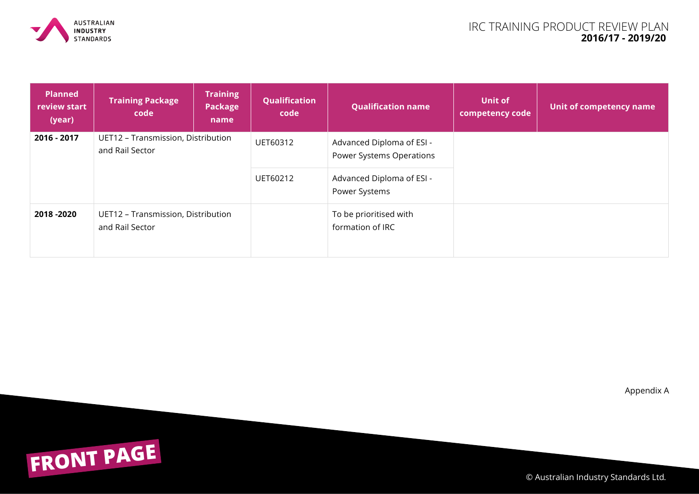

| <b>Planned</b><br>review start<br>(year) | <b>Training Package</b><br>code                       | <b>Training</b><br>Package<br>name | Qualification<br>code | <b>Qualification name</b>                             | Unit of<br>competency code | Unit of competency name |
|------------------------------------------|-------------------------------------------------------|------------------------------------|-----------------------|-------------------------------------------------------|----------------------------|-------------------------|
| 2016 - 2017                              | UET12 - Transmission, Distribution<br>and Rail Sector |                                    | UET60312              | Advanced Diploma of ESI -<br>Power Systems Operations |                            |                         |
|                                          |                                                       |                                    | UET60212              | Advanced Diploma of ESI -<br>Power Systems            |                            |                         |
| 2018 - 2020                              | UET12 - Transmission, Distribution<br>and Rail Sector |                                    |                       | To be prioritised with<br>formation of IRC            |                            |                         |

Appendix A



© Australian Industry Standards Ltd. <sup>26</sup>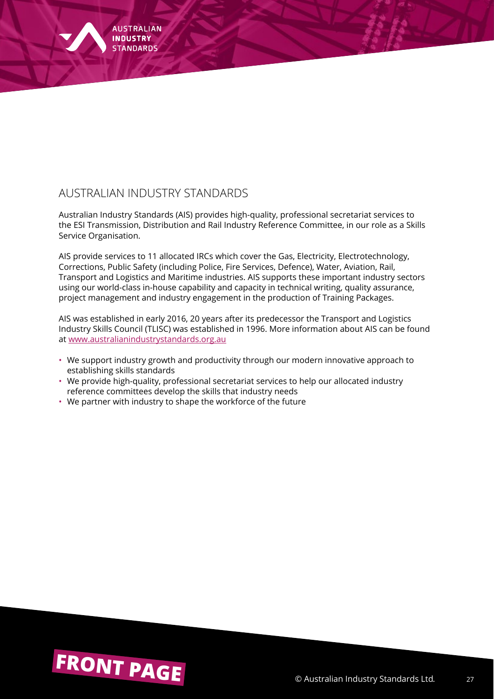

Australian Industry Standards (AIS) provides high-quality, professional secretariat services to the ESI Transmission, Distribution and Rail Industry Reference Committee, in our role as a Skills Service Organisation.

AIS provide services to 11 allocated IRCs which cover the Gas, Electricity, Electrotechnology, Corrections, Public Safety (including Police, Fire Services, Defence), Water, Aviation, Rail, Transport and Logistics and Maritime industries. AIS supports these important industry sectors using our world-class in-house capability and capacity in technical writing, quality assurance, project management and industry engagement in the production of Training Packages.

AIS was established in early 2016, 20 years after its predecessor the Transport and Logistics Industry Skills Council (TLISC) was established in 1996. More information about AIS can be found at www.australianindustrystandards.org.au

- We support industry growth and productivity through our modern innovative approach to establishing skills standards
- We provide high-quality, professional secretariat services to help our allocated industry reference committees develop the skills that industry needs
- We partner with industry to shape the workforce of the future